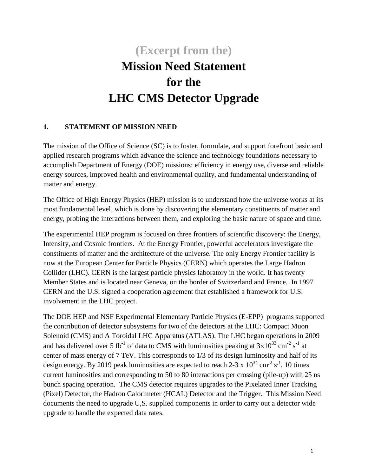# **(Excerpt from the) Mission Need Statement for the LHC CMS Detector Upgrade**

#### **1. STATEMENT OF MISSION NEED**

The mission of the Office of Science (SC) is to foster, formulate, and support forefront basic and applied research programs which advance the science and technology foundations necessary to accomplish Department of Energy (DOE) missions: efficiency in energy use, diverse and reliable energy sources, improved health and environmental quality, and fundamental understanding of matter and energy.

The Office of High Energy Physics (HEP) mission is to understand how the universe works at its most fundamental level, which is done by discovering the elementary constituents of matter and energy, probing the interactions between them, and exploring the basic nature of space and time.

The experimental HEP program is focused on three frontiers of scientific discovery: the Energy, Intensity, and Cosmic frontiers. At the [Energy Frontier,](http://science.energy.gov/hep/about/) powerful accelerators investigate the constituents of matter and the architecture of the universe. The only Energy Frontier facility is now at the European Center for Particle Physics (CERN) which operates the Large Hadron Collider (LHC). CERN is the largest particle physics laboratory in the world. It has twenty Member States and is located near Geneva, on the border of Switzerland and France. In 1997 CERN and the U.S. signed a cooperation agreement that established a framework for U.S. involvement in the LHC project.

The DOE HEP and NSF Experimental Elementary Particle Physics (E-EPP) programs supported the contribution of detector subsystems for two of the detectors at the LHC: Compact Muon Solenoid (CMS) and A Toroidal LHC Apparatus (ATLAS). The LHC began operations in 2009 and has delivered over 5 fb<sup>-1</sup> of data to CMS with luminosities peaking at  $3\times10^{33}$  cm<sup>-2</sup> s<sup>-1</sup> at center of mass energy of 7 TeV. This corresponds to 1/3 of its design luminosity and half of its design energy. By 2019 peak luminosities are expected to reach 2-3 x  $10^{34}$  cm<sup>-2</sup> s<sup>-1</sup>, 10 times current luminosities and corresponding to 50 to 80 interactions per crossing (pile-up) with 25 ns bunch spacing operation. The CMS detector requires upgrades to the Pixelated Inner Tracking (Pixel) Detector, the Hadron Calorimeter (HCAL) Detector and the Trigger. This Mission Need documents the need to upgrade U,S. supplied components in order to carry out a detector wide upgrade to handle the expected data rates.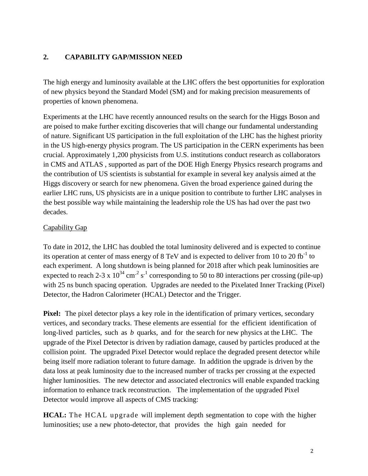#### **2. CAPABILITY GAP/MISSION NEED**

The high energy and luminosity available at the LHC offers the best opportunities for exploration of new physics beyond the Standard Model (SM) and for making precision measurements of properties of known phenomena.

Experiments at the LHC have recently announced results on the search for the Higgs Boson and are poised to make further exciting discoveries that will change our fundamental understanding of nature. Significant US participation in the full exploitation of the LHC has the highest priority in the US high-energy physics program. The US participation in the CERN experiments has been crucial. Approximately 1,200 physicists from U.S. institutions conduct research as collaborators in CMS and ATLAS , supported as part of the DOE High Energy Physics research programs and the contribution of US scientists is substantial for example in several key analysis aimed at the Higgs discovery or search for new phenomena. Given the broad experience gained during the earlier LHC runs, US physicists are in a unique position to contribute to further LHC analyses in the best possible way while maintaining the leadership role the US has had over the past two decades.

#### Capability Gap

To date in 2012, the LHC has doubled the total luminosity delivered and is expected to continue its operation at center of mass energy of 8 TeV and is expected to deliver from 10 to 20 fb<sup>-1</sup> to each experiment. A long shutdown is being planned for 2018 after which peak luminosities are expected to reach 2-3 x  $10^{34}$  cm<sup>-2</sup> s<sup>-1</sup> corresponding to 50 to 80 interactions per crossing (pile-up) with 25 ns bunch spacing operation. Upgrades are needed to the Pixelated Inner Tracking (Pixel) Detector, the Hadron Calorimeter (HCAL) Detector and the Trigger.

**Pixel:** The pixel detector plays a key role in the identification of primary vertices, secondary vertices, and secondary tracks. These elements are essential for the efficient identification of long-lived particles, such as *b* quarks, and for the search for new physics at the LHC. The upgrade of the Pixel Detector is driven by radiation damage, caused by particles produced at the collision point. The upgraded Pixel Detector would replace the degraded present detector while being itself more radiation tolerant to future damage. In addition the upgrade is driven by the data loss at peak luminosity due to the increased number of tracks per crossing at the expected higher luminosities. The new detector and associated electronics will enable expanded tracking information to enhance track reconstruction. The implementation of the upgraded Pixel Detector would improve all aspects of CMS tracking:

**HCAL:** The HCAL upgrade will implement depth segmentation to cope with the higher luminosities; use a new photo-detector, that provides the high gain needed for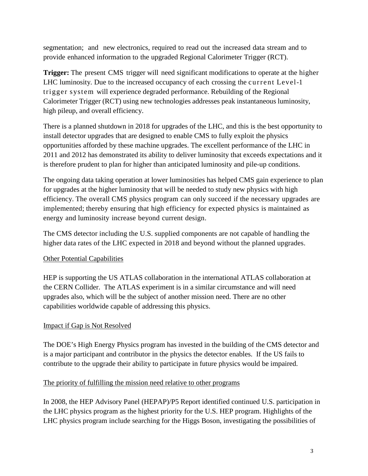segmentation; and new electronics, required to read out the increased data stream and to provide enhanced information to the upgraded Regional Calorimeter Trigger (RCT).

**Trigger:** The present CMS trigger will need significant modifications to operate at the higher LHC luminosity. Due to the increased occupancy of each crossing the current Level-1 trigger system will experience degraded performance. Rebuilding of the Regional Calorimeter Trigger (RCT) using new technologies addresses peak instantaneous luminosity, high pileup, and overall efficiency.

There is a planned shutdown in 2018 for upgrades of the LHC, and this is the best opportunity to install detector upgrades that are designed to enable CMS to fully exploit the physics opportunities afforded by these machine upgrades. The excellent performance of the LHC in 2011 and 2012 has demonstrated its ability to deliver luminosity that exceeds expectations and it is therefore prudent to plan for higher than anticipated luminosity and pile-up conditions.

The ongoing data taking operation at lower luminosities has helped CMS gain experience to plan for upgrades at the higher luminosity that will be needed to study new physics with high efficiency. The overall CMS physics program can only succeed if the necessary upgrades are implemented; thereby ensuring that high efficiency for expected physics is maintained as energy and luminosity increase beyond current design.

The CMS detector including the U.S. supplied components are not capable of handling the higher data rates of the LHC expected in 2018 and beyond without the planned upgrades.

#### Other Potential Capabilities

HEP is supporting the US ATLAS collaboration in the international ATLAS collaboration at the CERN Collider. The ATLAS experiment is in a similar circumstance and will need upgrades also, which will be the subject of another mission need. There are no other capabilities worldwide capable of addressing this physics.

#### Impact if Gap is Not Resolved

The DOE's High Energy Physics program has invested in the building of the CMS detector and is a major participant and contributor in the physics the detector enables. If the US fails to contribute to the upgrade their ability to participate in future physics would be impaired.

#### The priority of fulfilling the mission need relative to other programs

In 2008, the HEP Advisory Panel (HEPAP)/P5 Report identified continued U.S. participation in the LHC physics program as the highest priority for the U.S. HEP program. Highlights of the LHC physics program include searching for the Higgs Boson, investigating the possibilities of